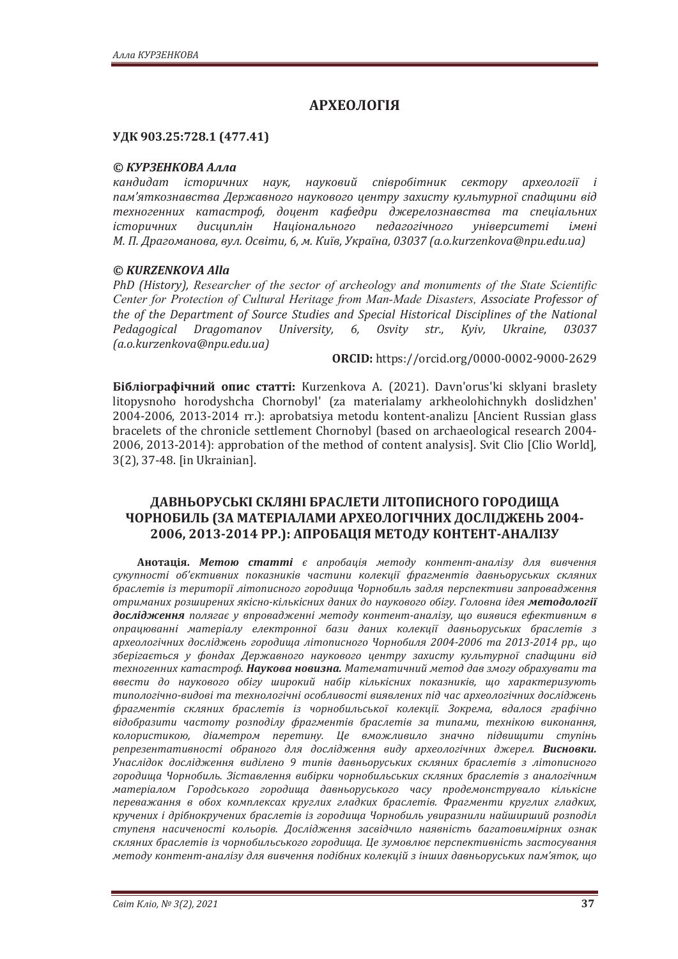# **АРХЕОЛОГІЯ**

### УДК 903.25:728.1 (477.41)

### © КУРЗЕНКОВА Алла

кандидат *історичних наук, науковий співробітник сектору археології і* пам'яткознавства Державного наукового центру захисту культурної спадщини від техногенних катастроф, доцент кафедри джерелознавства та спеціальних icторичних дисциплін Національного педагогічного університеті імені  $M$ . П. Драгоманова, вул. Освіти, 6, м. Київ, Україна, 03037 (а.о. kurzenkova@npu.edu.ua)

### *© KURZENKOVA Alla*

*PhD (History), Researcher of the sector of archeology and monuments of the State Scientific Center for Protection of Cultural Heritage from Man-Made Disasters,*  the of the Department of Source Studies and Special Historical Disciplines of the National *Pedagogical Dragomanov University, 6, Osvity str., Kγiγ, Ukraine, 03037*  $(a.o.kurzenkova@npu.edu.ua)$ 

**ǣ** https://orcid.org/0000-0002-9000-2629

**Бібліографічний опис статті:** Kurzenkova A. (2021). Davn'orus'ki sklyani braslety litopysnoho horodyshcha Chornobyl' (za materialamy arkheolohichnykh doslidzhen' 2004-2006, 2013-2014 rr.): aprobatsiya metodu kontent-analizu [Ancient Russian glass bracelets of the chronicle settlement Chornobyl (based on archaeological research 2004- 2006, 2013-2014): approbation of the method of content analysis]. Svit Clio [Clio World], 3(2), 37-48. [in Ukrainian].

## ДАВНЬОРУСЬКІ СКЛЯНІ БРАСЛЕТИ ЛІТОПИСНОГО ГОРОДИЩА ЧОРНОБИЛЬ (ЗА МАТЕРІАЛАМИ АРХЕОЛОГІЧНИХ ДОСЛІДЖЕНЬ 2004- $2006, 2013 - 2014$  PP.): АПРОБАЦІЯ МЕТОДУ КОНТЕНТ-АНАЛІЗУ

**Анотація. Метою статті** є апробація методу контент-аналізу для вивчення сукупності об'єктивних показників частини колекції фрагментів давньоруських скляних браслетів із території літописного городища Чорнобиль задля перспективи запровадження *ˑ˕˓ˋˏ˃ːˋ˘˓ˑˊ˛ˋ˓ˈːˋ˘ˢˍ˪˔ːˑ-ˍ˪ˎ˟ˍ˪˔ːˋ˘ˇ˃ːˋ˘ˇˑː˃˖ˍˑ˅ˑˆˑˑ˄˪ˆ˖Ǥʒˑˎˑ˅ː˃˪ˇˈˢˏˈ˕ˑˇˑˎˑˆ˪˫* дослідження полягає у впровадженні методу контент-аналізу, що виявися ефективним в опрацюванні матеріалу електронної бази даних колекції давньоруських браслетів з  $a$ рхеологічних досліджень городища літописного Чорнобиля 2004-2006 та 2013-2014 рр., що зберігається у фондах Державного наукового центру захисту культурної спадщини від техногенних катастроф. Наукова новизна. Математичний метод дав змогу обрахувати та ввести до наукового обігу широкий набір кількісних показників, що характеризують типологічно-видові та технологічні особливості виявлених під час археологічних досліджень фрагментів скляних браслетів із чорнобильської колекції. Зокрема, вдалося графічно відобразити частоту розподілу фрагментів браслетів за типами, технікою виконання, колористикою, діаметром перетину. Це вможливило значно підвищити ступінь репрезентативності обраного для дослідження виду археологічних джерел. **Висновки.** Унаслідок дослідження виділено 9 типів давньоруських скляних браслетів з літописного городища Чорнобиль. Зіставлення вибірки чорнобильських скляних браслетів з аналогічним матеріалом Городського городища давньоруського часу продемонструвало кількісне переважання в обох комплексах круглих гладких браслетів. Фрагменти круглих гладких, кручених *і дрібнокручених браслетів із городища Чорнобиль увиразнили найширший розподіл* ступеня насиченості кольорів. Дослідження засвідчило наявність багатовимірних ознак скляних браслетів із чорнобильського городища. Це зумовлює перспективність застосування **методу контент-аналізу для вивчення подібних колекцій з інших давньоруських пам'яток, шо**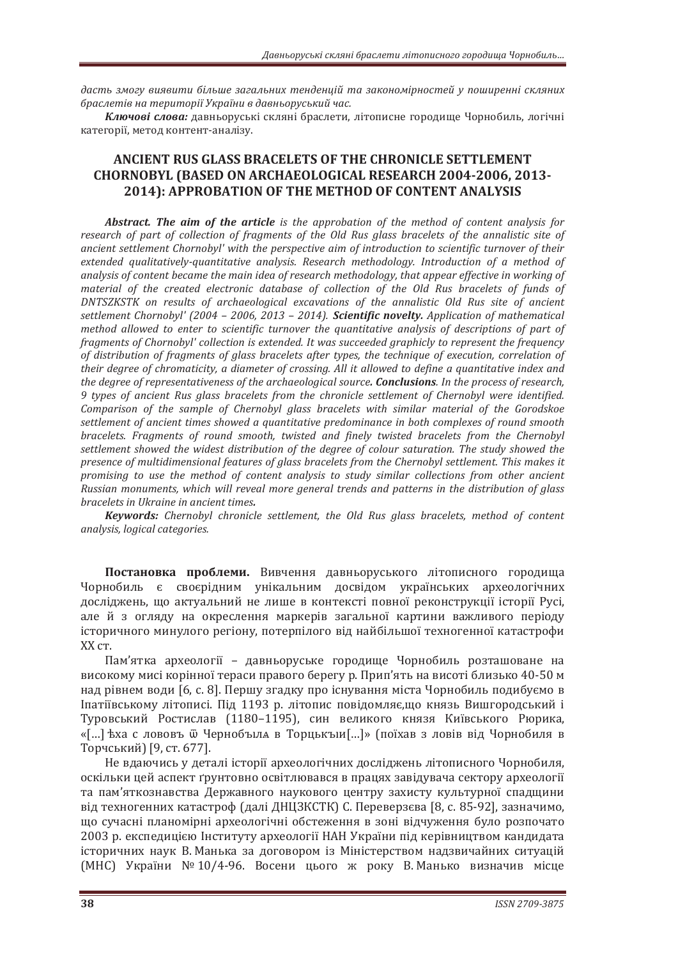дасть змогу виявити більше загальних тенденцій та закономірностей у поширенні скляних *˄˓˃˔ˎˈ˕˪˅ː˃˕ˈ˓ˋ˕ˑ˓˪˫ʢˍ˓˃˫ːˋ˅ˇ˃˅ː˟ˑ˓˖˔˟ˍˋˌ˚˃˔Ǥ*

Ключові слова: давньоруські скляні браслети, літописне городище Чорнобиль, логічні категорії, метод контент-аналізу.

## **ANCIENT RUS GLASS BRACELETS OF THE CHRONICLE SETTLEMENT CHORNOBYL (BASED ON ARCHAEOLOGICAL RESEARCH 2004-2006, 2013-2014): APPROBATION OF THE METHOD OF CONTENT ANALYSIS**

*Abstract. The aim of the article is the approbation of the method of content analysis for* research of part of collection of fragments of the Old Rus glass bracelets of the annalistic site of ancient settlement Chornobyl' with the perspective aim of introduction to scientific turnover of their extended qualitatively-quantitative analysis. Research methodology. Introduction of a method of analysis of content became the main idea of research methodology, that appear effective in working of material of the created electronic database of collection of the Old Rus bracelets of funds of DNTSZKSTK on results of archaeological excavations of the annalistic Old Rus site of ancient *settlement Chornobyl' (2004 - 2006, 2013 - 2014). Scientific novelty. Application of mathematical* method allowed to enter to scientific turnover the quantitative analysis of descriptions of part of *fragments of Chornobyl' collection is extended. It was succeeded graphicly to represent the frequency* of distribution of fragments of glass bracelets after types, the technique of execution, correlation of *their degree of chromaticity, a diameter of crossing. All it allowed to define a quantitative index and the degree of representativeness of the archaeological source. Conclusions. In the process of research, <i>9* types of ancient Rus glass bracelets from the chronicle settlement of Chernobyl were identified. Comparison of the sample of Chernobyl glass bracelets with similar material of the Gorodskoe settlement of ancient times showed a quantitative predominance in both complexes of round smooth bracelets. Fragments of round smooth, twisted and finely twisted bracelets from the Chernobyl settlement showed the widest distribution of the degree of colour saturation. The study showed the presence of multidimensional features of glass bracelets from the Chernobyl settlement. This makes it promising to use the method of content analysis to study similar collections from other ancient Russian monuments, which will reveal more general trends and patterns in the distribution of glass **bracelets** in Ukraine in ancient times.

**Keywords:** Chernobyl chronicle settlement, the Old Rus glass bracelets, method of content *analysis*, *logical* categories.

Постановка проблеми. Вивчення давньоруського літописного городища Чорнобиль є своєрідним унікальним досвідом українських археологічних лослілжень, що актуальний не лише в контексті повної реконструкції історії Русі. але й з огляду на окреслення маркерів загальної картини важливого періоду icторичного минулого регіону, потерпілого від найбільшої техногенної катастрофи XX ст.

Пам'ятка археології – давньоруське городище Чорнобиль розташоване на високому мисі корінної тераси правого берегу р. Прип'ять на висоті близько 40-50 м над рівнем води [6, с. 8]. Першу згадку про існування міста Чорнобиль подибуємо в Іпатіївському літописі. Під 1193 р. літопис повідомляє,що князь Вишгородський і Туровський Ростислав (1180-1195), син великого князя Київського Рюрика, «[...] ѣха с лововъ ѿ Чернобъіла в Торцькъіи[...]» (поїхав з ловів від Чорнобиля в Торчський) [9, ст. 677].

Не вдаючись у деталі історії археологічних досліджень літописного Чорнобиля, оскільки цей аспект ґрунтовно освітлювався в працях завідувача сектору археології та пам'яткознавства Державного наукового центру захисту культурної спадщини від техногенних катастроф (далі ДНЦЗКСТК) С. Переверзєва [8, с. 85-92], зазначимо, що сучасні планомірні археологічні обстеження в зоні відчуження було розпочато 2003 р. експедицією Інституту археології НАН України під керівництвом кандидата історичних наук В. Манька за договором із Міністерством надзвичайних ситуацій  $(MHC)$  України № 10/4-96. Восени цього ж року В. Манько визначив місце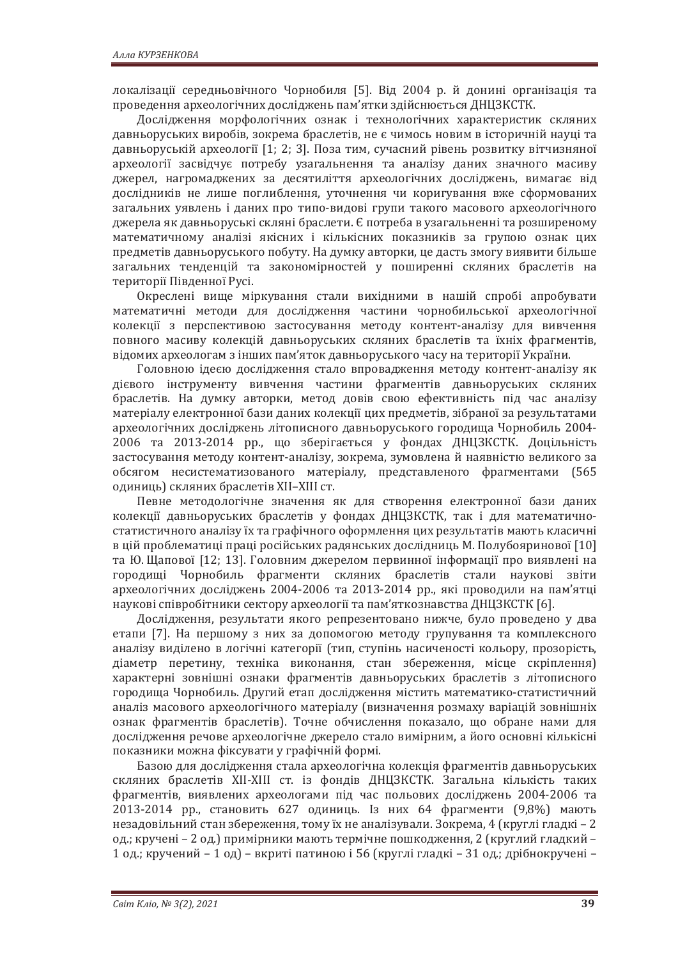локалізації середньовічного Чорнобиля [5]. Від 2004 р. й донині організація та проведення археологічних досліджень пам'ятки здійснюється ДНЦЗКСТК.

Дослідження морфологічних ознак і технологічних характеристик скляних давньоруських виробів, зокрема браслетів, не є чимось новим в історичній науці та давньоруській археології [1; 2; 3]. Поза тим, сучасний рівень розвитку вітчизняної археології засвідчує потребу узагальнення та аналізу даних значного масиву джерел, нагромаджених за десятиліття археологічних досліджень, вимагає від дослідників не лише поглиблення, уточнення чи коригування вже сформованих загальних уявлень і даних про типо-видові групи такого масового археологічного джерела як давньоруські скляні браслети. Є потреба в узагальненні та розширеному математичному аналізі якісних і кількісних показників за групою ознак цих предметів давньоруського побуту. На думку авторки, це дасть змогу виявити більше загальних тенденцій та закономірностей у поширенні скляних браслетів на території Південної Русі.

Окреслені вище міркування стали вихідними в нашій спробі апробувати математичні методи для дослідження частини чорнобильської археологічної колекції з перспективою застосування методу контент-аналізу для вивчення повного масиву колекцій давньоруських скляних браслетів та їхніх фрагментів, відомих археологам з інших пам'яток давньоруського часу на території України.

Головною ідеєю дослідження стало впровадження методу контент-аналізу як дієвого інструменту вивчення частини фрагментів давньоруських скляних браслетів. На думку авторки, метод довів свою ефективність під час аналізу матеріалу електронної бази даних колекції цих предметів, зібраної за результатами археологічних досліджень літописного давньоруського городища Чорнобиль 2004-2006 та 2013-2014 рр., що зберігається у фондах ДНЦЗКСТК. Доцільність застосування методу контент-аналізу, зокрема, зумовлена й наявністю великого за обсягом несистематизованого матеріалу, представленого фрагментами (565 одиниць) скляних браслетів XII-XIII ст.

Певне методологічне значення як для створення електронної бази даних колекції давньоруських браслетів у фондах ДНЦЗКСТК, так і для математичностатистичного аналізу їх та графічного оформлення цих результатів мають класичні в цій проблематиці праці російських радянських дослідниць М. Полубояринової [10] та Ю. Щапової [12; 13]. Головним джерелом первинної інформації про виявлені на городищі Чорнобиль фрагменти скляних браслетів стали наукові звіти археологічних досліджень 2004-2006 та 2013-2014 рр., які проводили на пам'ятці наукові співробітники сектору археології та пам'яткознавства ДНЦЗКСТК [6].

Дослідження, результати якого репрезентовано нижче, було проведено у два етапи [7]. На першому з них за допомогою методу групування та комплексного аналізу виділено в логічні категорії (тип, ступінь насиченості кольору, прозорість, діаметр перетину, техніка виконання, стан збереження, місце скріплення) характерні зовнішні ознаки фрагментів давньоруських браслетів з літописного городища Чорнобиль. Другий етап дослідження містить математико-статистичний аналіз масового археологічного матеріалу (визначення розмаху варіацій зовнішніх ознак фрагментів браслетів). Точне обчислення показало, що обране нами для дослідження речове археологічне джерело стало вимірним, а його основні кількісні показники можна фіксувати у графічній формі.

Базою для дослідження стала археологічна колекція фрагментів давньоруських скляних браслетів XII-XIII ст. із фондів ДНЦЗКСТК. Загальна кількість таких фрагментів, виявлених археологами під час польових досліджень 2004-2006 та 2013-2014 рр., становить 627 одиниць. Із них 64 фрагменти (9,8%) мають незадовільний стан збереження, тому їх не аналізували. Зокрема, 4 (круглі гладкі – 2 од.; кручені – 2 од.) примірники мають термічне пошкодження, 2 (круглий гладкий – 1 од.; кручений - 1 од) - вкриті патиною і 56 (круглі гладкі - 31 од.; дрібнокручені -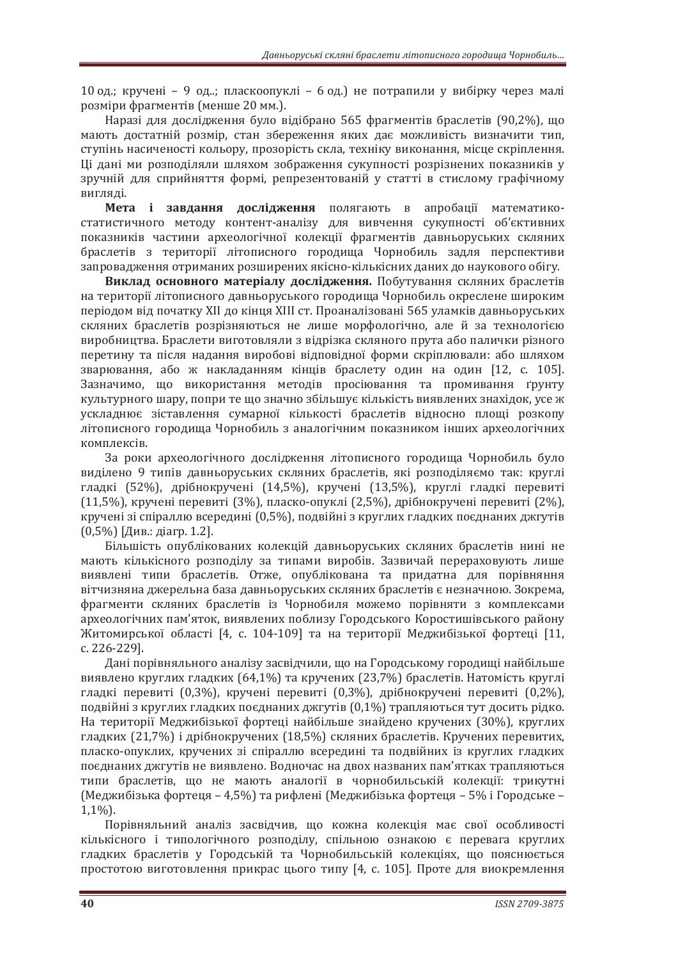10 од.; кручені - 9 од..; пласкоопуклі - 6 од.) не потрапили у вибірку через малі розміри фрагментів (менше 20 мм.).

Наразі для дослідження було відібрано 565 фрагментів браслетів (90.2%), що мають достатній розмір, стан збереження яких дає можливість визначити тип, ступінь насиченості кольору, прозорість скла, техніку виконання, місце скріплення. Ці дані ми розподіляли шляхом зображення сукупності розрізнених показників у зручній для сприйняття формі, репрезентованій у статті в стислому графічному вигляді.

**Мета і завлання лослілження** полягають в апробації математикостатистичного методу контент-аналізу для вивчення сукупності об'єктивних показників частини археологічної колекції фрагментів давньоруських скляних браслетів з території літописного городища Чорнобиль задля перспективи запровадження отриманих розширених якісно-кількісних даних до наукового обігу.

Виклад основного матеріалу дослідження. Побутування скляних браслетів на території літописного давньоруського городища Чорнобиль окреслене широким періодом від початку XII до кінця XIII ст. Проаналізовані 565 уламків давньоруських скляних браслетів розрізняються не лише морфологічно, але й за технологією виробництва. Браслети виготовляли з відрізка скляного прута або палички різного перетину та після надання виробові відповідної форми скріплювали: або шляхом зварювання, або ж накладанням кінців браслету один на один [12, с. 105]. Зазначимо, що використання методів просіювання та промивання ґрунту культурного шару, попри те що значно збільшує кількість виявлених знахідок, усе ж ускладнює зіставлення сумарної кількості браслетів відносно площі розкопу літописного городища Чорнобиль з аналогічним показником інших археологічних комплексів.

За роки археологічного дослідження літописного городища Чорнобиль було виділено 9 типів давньоруських скляних браслетів, які розподіляємо так: круглі гладкі (52%), дрібнокручені (14,5%), кручені (13,5%), круглі гладкі перевиті (11,5%), кручені перевиті (3%), пласко-опуклі (2,5%), дрібнокручені перевиті (2%), кручені зі спіраллю всередині (0,5%), подвійні з круглих гладких поєднаних джгутів  $(0,5\%)$  [Див.: діагр. 1.2].

Більшість опублікованих колекцій давньоруських скляних браслетів нині не мають кількісного розподілу за типами виробів. Зазвичай перераховують лише виявлені типи браслетів. Отже, опублікована та придатна для порівняння вітчизняна джерельна база давньоруських скляних браслетів є незначною. Зокрема, фрагменти скляних браслетів із Чорнобиля можемо порівняти з комплексами археологічних пам'яток, виявлених поблизу Городського Коростишівського району Житомирської області [4, с. 104-109] та на території Меджибізької фортеці [11, c. 226-229].

Дані порівняльного аналізу засвідчили, що на Городському городищі найбільше виявлено круглих гладких (64,1%) та кручених (23,7%) браслетів. Натомість круглі гладкі перевиті  $(0.3\%)$ , кручені перевиті  $(0.3\%)$ , дрібнокручені перевиті  $(0.2\%)$ . подвійні з круглих гладких поєднаних джгутів (0,1%) трапляються тут досить рідко. На території Меджибізької фортеці найбільше знайдено кручених (30%), круглих гладких (21,7%) і дрібнокручених (18,5%) скляних браслетів. Кручених перевитих, пласко-опуклих, кручених зі спіраллю всередині та подвійних із круглих гладких поєднаних джгутів не виявлено. Водночас на двох названих пам'ятках трапляються типи браслетів, що не мають аналогії в чорнобильській колекції: трикутні  $(Me_{\text{X}}$ и́еджибізька фортеця – 4,5%) та рифлені (Меджибізька фортеця – 5% і Городське  $1.1\%$ ).

Порівняльний аналіз засвідчив, що кожна колекція має свої особливості кількісного і типологічного розподілу, спільною ознакою є перевага круглих гладких браслетів у Городській та Чорнобильській колекціях, що пояснюється простотою виготовлення прикрас цього типу [4, с. 105]. Проте для виокремлення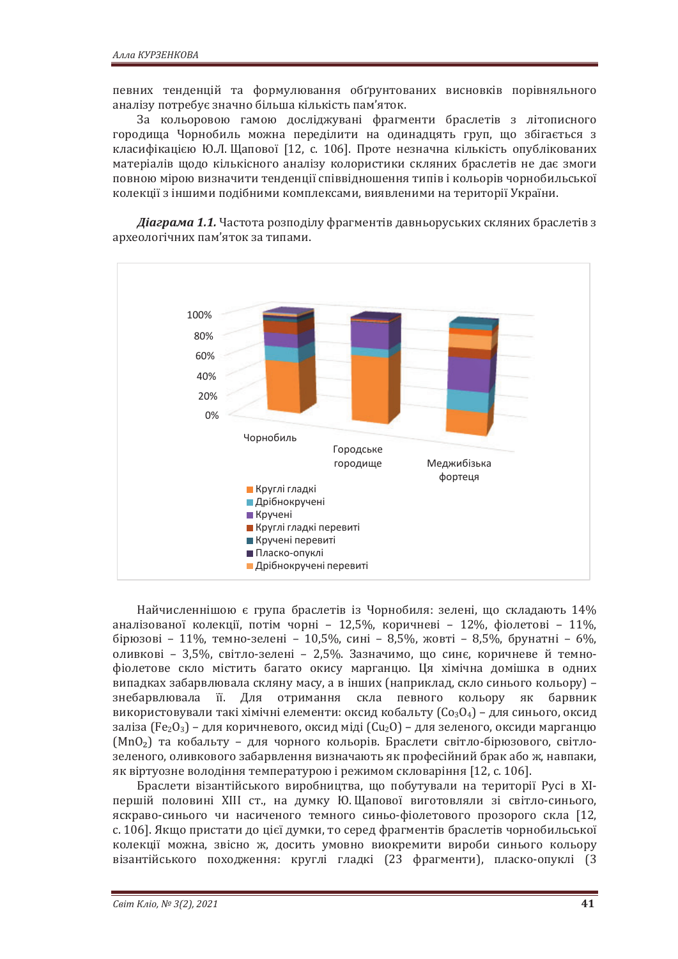певних тенденцій та формулювання обґрунтованих висновків порівняльного аналізу потребує значно більша кількість пам'яток.

За кольоровою гамою досліджувані фрагменти браслетів з літописного городища Чорнобиль можна переділити на одинадцять груп, що збігається з класифікацією Ю.Л. Щапової [12, с. 106]. Проте незначна кількість опублікованих матеріалів щодо кількісного аналізу колористики скляних браслетів не дає змоги повною мірою визначити тенденції співвідношення типів і кольорів чорнобильської колекції з іншими подібними комплексами, виявленими на території України.

**Діаграма 1.1.** Частота розподілу фрагментів давньоруських скляних браслетів з археологічних пам'яток за типами.



Найчисленнішою є група браслетів із Чорнобиля: зелені, що складають 14% аналізованої колекції, потім чорні - 12,5%, коричневі - 12%, фіолетові - 11%,  $\overline{6}$ ірюзові – 11%, темно-зелені – 10,5%, сині – 8,5%, жовті – 8,5%, брунатні – 6%, оливкові - 3,5%, світло-зелені - 2,5%. Зазначимо, що синє, коричневе й темнофіолетове скло містить багато окису марганцю. Ця хімічна домішка в одних випадках забарвлювала скляну масу, а в інших (наприклад, скло синього кольору) знебарвлювала її. Для отримання скла певного кольору як барвник використовували такі хімічні елементи: оксид кобальту  $(C_{03}O_4)$  – для синього, оксид заліза  $(Fe_2O_3)$  – для коричневого, оксид міді  $(Cu_2O)$  – для зеленого, оксиди марганцю (MnO<sub>2</sub>) та кобальту – для чорного кольорів. Браслети світло-бірюзового, світлозеленого, оливкового забарвлення визначають як професійний брак або ж, навпаки, як віртуозне володіння температурою і режимом скловаріння [12, с. 106].

Браслети візантійського виробництва, що побутували на території Русі в XIпершій половині XIII ст., на думку Ю. Щапової виготовляли зі світло-синього, яскраво-синього чи насиченого темного синьо-фіолетового прозорого скла [12, с. 106]. Якщо пристати до цієї думки, то серед фрагментів браслетів чорнобильської колекції можна, звісно ж, досить умовно виокремити вироби синього кольору візантійського походження: круглі гладкі (23 фрагменти), пласко-опуклі (3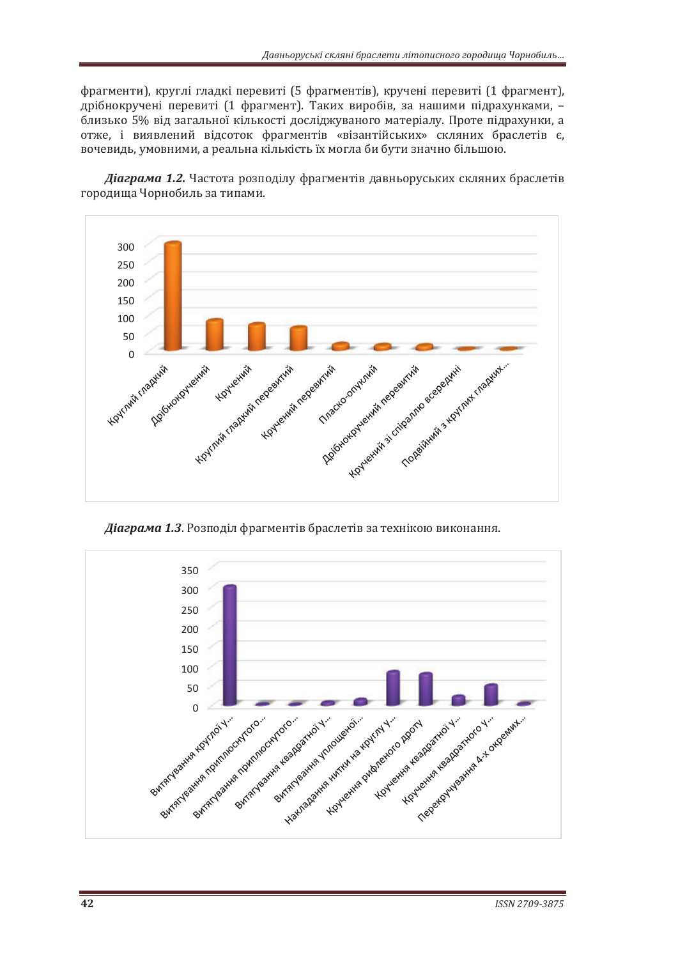фрагменти), круглі гладкі перевиті (5 фрагментів), кручені перевиті (1 фрагмент), дрібнокручені перевиті (1 фрагмент). Таких виробів, за нашими підрахунками, близько 5% від загальної кількості досліджуваного матеріалу. Проте підрахунки, а отже, і виявлений відсоток фрагментів «візантійських» скляних браслетів є, вочевидь, умовними, а реальна кількість їх могла би бути значно більшою.

**Діаграма 1.2.** Частота розподілу фрагментів давньоруських скляних браслетів городища Чорнобиль за типами.



**Діаграма 1.3**. Розподіл фрагментів браслетів за технікою виконання.

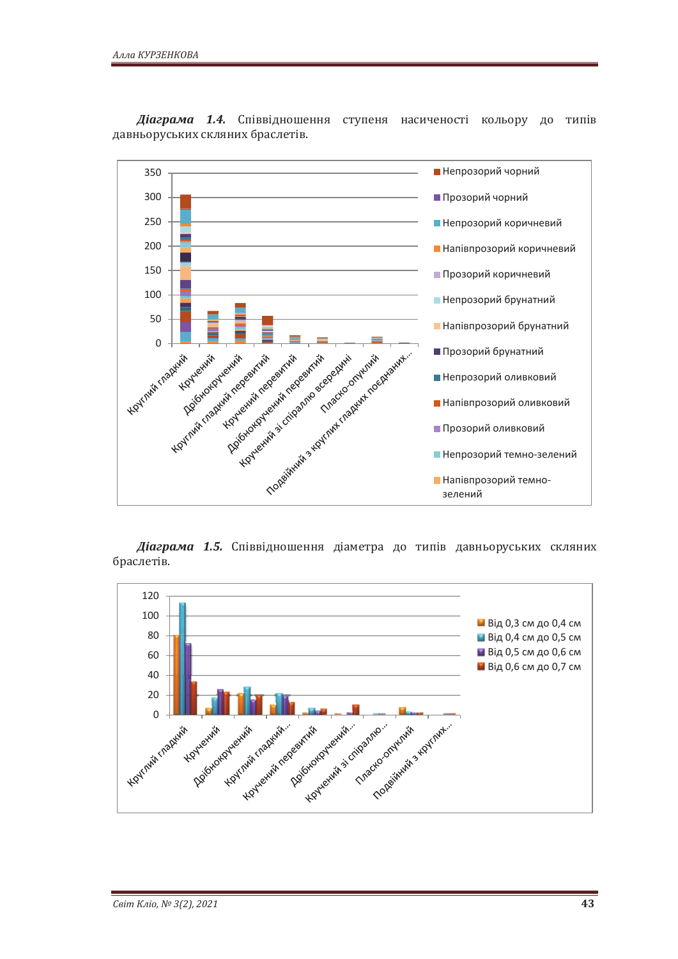

**Діаграма 1.4.** Співвідношення ступеня насиченості кольору до типів давньоруських скляних браслетів.

Діаграма 1.5. Співвідношення діаметра до типів давньоруських скляних браслетів.

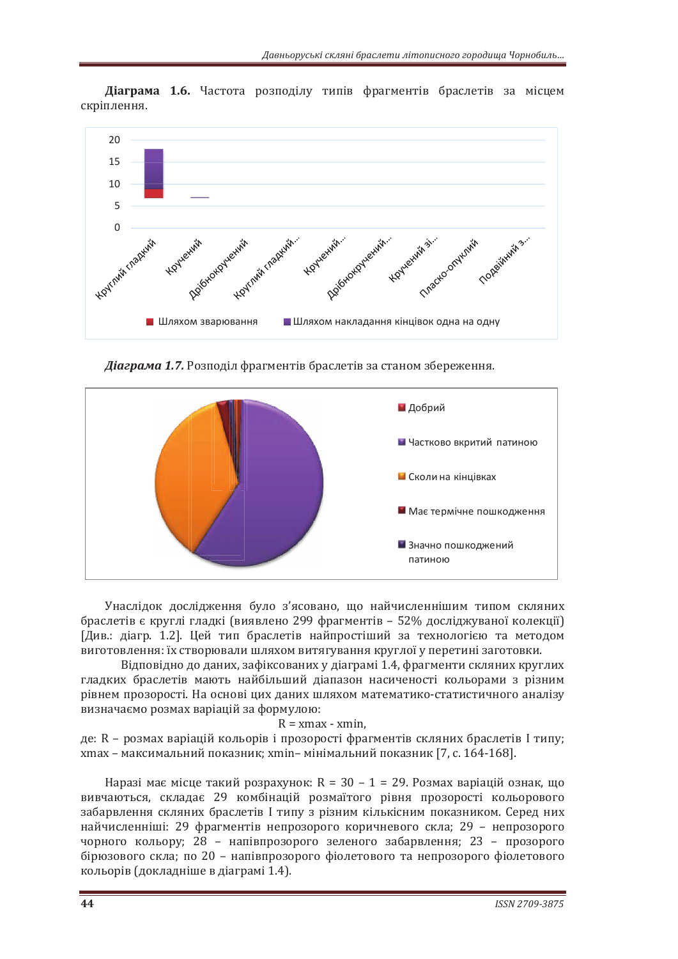

Діаграма 1.6. Частота розподілу типів фрагментів браслетів за місцем скріплення.

**Діаграма 1.7.** Розподіл фрагментів браслетів за станом збереження.



Унаслідок дослідження було з'ясовано, що найчисленнішим типом скляних браслетів є круглі гладкі (виявлено 299 фрагментів - 52% досліджуваної колекції) [Див.: діагр. 1.2]. Цей тип браслетів найпростіший за технологією та методом виготовлення: їх створювали шляхом витягування круглої у перетині заготовки.

Відповідно до даних, зафіксованих у діаграмі 1.4, фрагменти скляних круглих гладких браслетів мають найбільший діапазон насиченості кольорами з різним рівнем прозорості. На основі цих даних шляхом математико-статистичного аналізу визначаємо розмах варіацій за формулою:

#### $R = xmax - xmin$ .

де: R - розмах варіацій кольорів і прозорості фрагментів скляних браслетів I типу; хтах – максимальний показник; xmin- мінімальний показник [7, с. 164-168].

Наразі має місце такий розрахунок:  $R = 30 - 1 = 29$ . Розмах варіацій ознак, що вивчаються, складає 29 комбінацій розмаїтого рівня прозорості кольорового забарвлення скляних браслетів I типу з різним кількісним показником. Серед них найчисленніші: 29 фрагментів непрозорого коричневого скла; 29 - непрозорого чорного кольору; 28 - напівпрозорого зеленого забарвлення; 23 - прозорого бірюзового скла; по 20 – напівпрозорого фіолетового та непрозорого фіолетового кольорів (докладніше в діаграмі 1.4).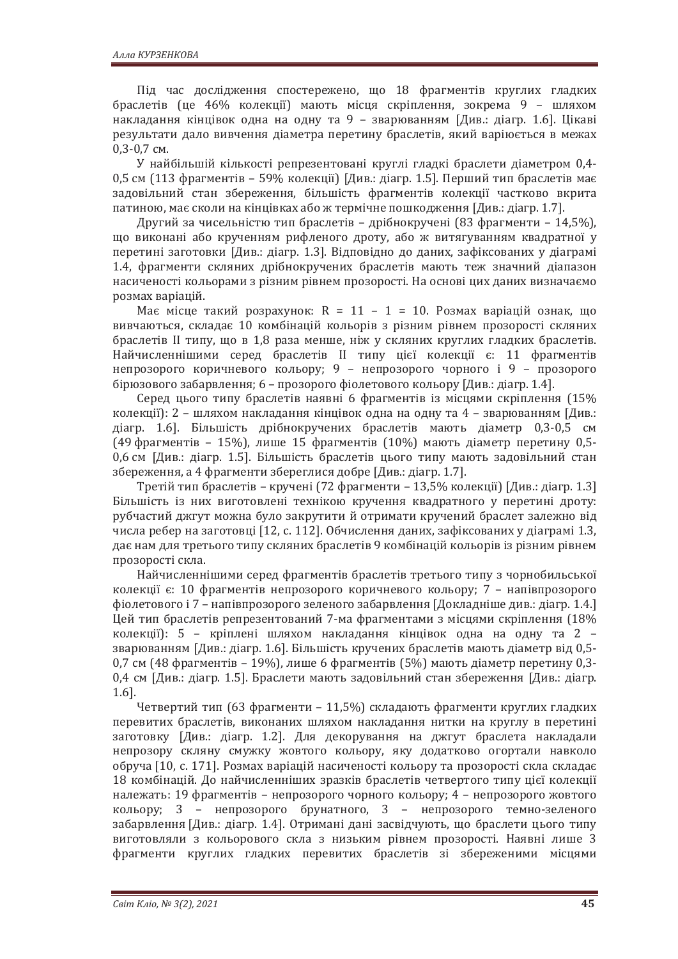Під час дослідження спостережено, що 18 фрагментів круглих гладких браслетів (це 46% колекції) мають місця скріплення, зокрема 9 - шляхом накладання кінцівок одна на одну та 9 – зварюванням [Див.: діагр. 1.6]. Цікаві результати дало вивчення діаметра перетину браслетів, який варіюється в межах  $0.3 - 0.7$  CM.

У найбільшій кількості репрезентовані круглі гладкі браслети діаметром 0,4-0,5 см (113 фрагментів – 59% колекції) [Див.: діагр. 1.5]. Перший тип браслетів має задовільний стан збереження, більшість фрагментів колекції частково вкрита патиною, має сколи на кінцівках або ж термічне пошкодження [Див.: діагр. 1.7].

Другий за чисельністю тип браслетів – дрібнокручені (83 фрагменти – 14,5%), що виконані або крученням рифленого дроту, або ж витягуванням квадратної у перетині заготовки [Див.: діагр. 1.3]. Відповідно до даних, зафіксованих у діаграмі 1.4, фрагменти скляних дрібнокручених браслетів мають теж значний діапазон насиченості кольорами з різним рівнем прозорості. На основі цих даних визначаємо розмах варіацій.

Має місце такий розрахунок: R = 11 - 1 = 10. Розмах варіацій ознак, що вивчаються, складає 10 комбінацій кольорів з різним рівнем прозорості скляних браслетів II типу, що в 1,8 раза менше, ніж у скляних круглих гладких браслетів. Найчисленнішими серед браслетів II типу цієї колекції є: 11 фрагментів непрозорого коричневого кольору; 9 - непрозорого чорного і 9 - прозорого бірюзового забарвлення; 6 – прозорого фіолетового кольору [Див.: діагр. 1.4].

Серед цього типу браслетів наявні 6 фрагментів із місцями скріплення (15% колекції): 2 - шляхом накладання кінцівок одна на одну та 4 - зварюванням [Див.: діагр. 1.6]. Більшість дрібнокручених браслетів мають діаметр 0,3-0,5 см (49 фрагментів – 15%), лише 15 фрагментів (10%) мають діаметр перетину 0,5-0,6 см [Див.: діагр. 1.5]. Більшість браслетів цього типу мають задовільний стан збереження, а 4 фрагменти збереглися добре [Див.: діагр. 1.7].

Третій тип браслетів – кручені (72 фрагменти – 13,5% колекції) [Див.: діагр. 1.3] Більшість із них виготовлені технікою кручення квадратного у перетині дроту: рубчастий джгут можна було закрутити й отримати кручений браслет залежно від числа ребер на заготовці [12, с. 112]. Обчислення даних, зафіксованих у діаграмі 1.3, дає нам для третього типу скляних браслетів 9 комбінацій кольорів із різним рівнем прозорості скла.

Найчисленнішими серед фрагментів браслетів третього типу з чорнобильської колекції є: 10 фрагментів непрозорого коричневого кольору; 7 – напівпрозорого фіолетового і 7 – напівпрозорого зеленого забарвлення [Докладніше див.: діагр. 1.4.] Цей тип браслетів репрезентований 7-ма фрагментами з місцями скріплення (18% колекції): 5 - кріплені шляхом накладання кінцівок одна на одну та 2 зварюванням [Див.: діагр. 1.6]. Більшість кручених браслетів мають діаметр від 0,5-0,7 см (48 фрагментів – 19%), лише 6 фрагментів (5%) мають діаметр перетину 0,3-0,4 см [Див.: діагр. 1.5]. Браслети мають задовільний стан збереження [Див.: діагр. 1.6].

Четвертий тип (63 фрагменти – 11,5%) складають фрагменти круглих гладких перевитих браслетів, виконаних шляхом накладання нитки на круглу в перетині заготовку [Див.: діагр. 1.2]. Для декорування на джгут браслета накладали непрозору скляну смужку жовтого кольору, яку додатково огортали навколо обруча [10, с. 171]. Розмах варіацій насиченості кольору та прозорості скла складає 18 комбінацій. До найчисленніших зразків браслетів четвертого типу цієї колекції належать: 19 фрагментів – непрозорого чорного кольору; 4 – непрозорого жовтого кольору; 3 - непрозорого брунатного, 3 - непрозорого темно-зеленого забарвлення [Див.: діагр. 1.4]. Отримані дані засвідчують, що браслети цього типу виготовляли з кольорового скла з низьким рівнем прозорості. Наявні лише 3 фрагменти круглих гладких перевитих браслетів зі збереженими місцями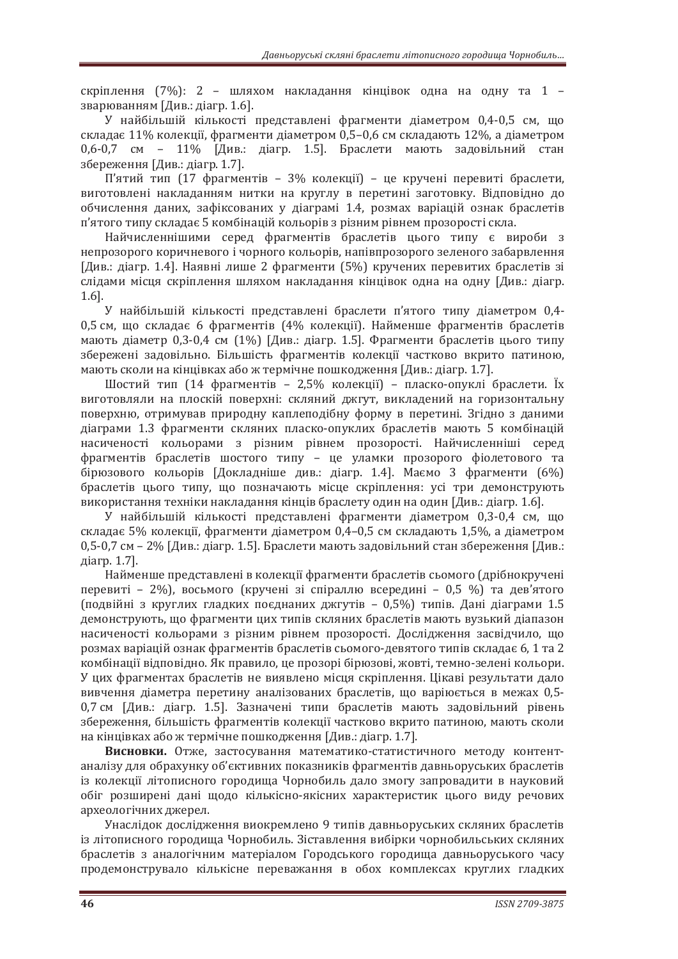скріплення (7%): 2 – шляхом накладання кінцівок одна на одну та 1 – зварюванням [Див.: діагр. 1.6].

У найбільшій кількості представлені фрагменти діаметром 0.4-0.5 см. шо складає 11% колекції, фрагменти діаметром 0,5-0,6 см складають 12%, а діаметром 0,6-0,7 см - 11% [Див.: діагр. 1.5]. Браслети мають задовільний стан збереження [Див.: діагр. 1.7].

П'ятий тип (17 фрагментів – 3% колекції) – це кручені перевиті браслети, виготовлені накладанням нитки на круглу в перетині заготовку. Відповідно до обчислення даних, зафіксованих у діаграмі 1.4, розмах варіацій ознак браслетів п'ятого типу складає 5 комбінацій кольорів з різним рівнем прозорості скла.

Найчисленнішими серед фрагментів браслетів цього типу є вироби з непрозорого коричневого і чорного кольорів, напівпрозорого зеленого забарвлення [Див.: діагр. 1.4]. Наявні лише 2 фрагменти (5%) кручених перевитих браслетів зі слідами місця скріплення шляхом накладання кінцівок одна на одну [Див.: діагр. 1.6].

У найбільшій кількості представлені браслети п'ятого типу діаметром 0,4-0,5 см, що складає 6 фрагментів (4% колекції). Найменше фрагментів браслетів мають діаметр 0,3-0,4 см (1%) [Див.: діагр. 1.5]. Фрагменти браслетів цього типу збережені задовільно. Більшість фрагментів колекції частково вкрито патиною, мають сколи на кінцівках або ж термічне пошкодження [Див.: діагр. 1.7].

Шостий тип (14 фрагментів - 2,5% колекції) - пласко-опуклі браслети. Їх виготовляли на плоскій поверхні: скляний джгут, викладений на горизонтальну поверхню, отримував природну каплеподібну форму в перетині. Згідно з даними діаграми 1.3 фрагменти скляних пласко-опуклих браслетів мають 5 комбінацій насиченості кольорами з різним рівнем прозорості. Найчисленніші серед фрагментів браслетів шостого типу - це уламки прозорого фіолетового та бірюзового кольорів [Докладніше див.: діагр. 1.4]. Маємо 3 фрагменти (6%) браслетів цього типу, що позначають місце скріплення: усі три демонструють використання техніки накладання кінців браслету один на один [Див.: діагр. 1.6].

У найбільшій кількості представлені фрагменти діаметром 0,3-0,4 см, що складає 5% колекції, фрагменти діаметром 0,4-0,5 см складають 1,5%, а діаметром 0,5-0,7 см – 2% [Див.: діагр. 1.5]. Браслети мають задовільний стан збереження [Див.: діагр. 1.7].

Найменше представлені в колекції фрагменти браслетів сьомого (дрібнокручені перевиті – 2%), восьмого (кручені зі спіраллю всередині – 0,5 %) та дев'ятого (подвійні з круглих гладких поєднаних джгутів - 0,5%) типів. Дані діаграми 1.5 демонструють, що фрагменти цих типів скляних браслетів мають вузький діапазон насиченості кольорами з різним рівнем прозорості. Дослідження засвідчило, що розмах варіацій ознак фрагментів браслетів сьомого-девятого типів складає 6, 1 та 2 комбінації відповідно. Як правило, це прозорі бірюзові, жовті, темно-зелені кольори. У цих фрагментах браслетів не виявлено місця скріплення. Цікаві результати дало вивчення діаметра перетину аналізованих браслетів, що варіюється в межах 0,5-0,7 см [Див.: діагр. 1.5]. Зазначені типи браслетів мають задовільний рівень збереження, більшість фрагментів колекції частково вкрито патиною, мають сколи на кінцівках або ж термічне пошкодження [Див.: діагр. 1.7].

Висновки. Отже, застосування математико-статистичного методу контентаналізу для обрахунку об'єктивних показників фрагментів давньоруських браслетів із колекції літописного городища Чорнобиль дало змогу запровадити в науковий обіг розширені дані щодо кількісно-якісних характеристик цього виду речових археологічних джерел.

Унаслідок дослідження виокремлено 9 типів давньоруських скляних браслетів із літописного городища Чорнобиль. Зіставлення вибірки чорнобильських скляних браслетів з аналогічним матеріалом Городського городища давньоруського часу продемонструвало кількісне переважання в обох комплексах круглих гладких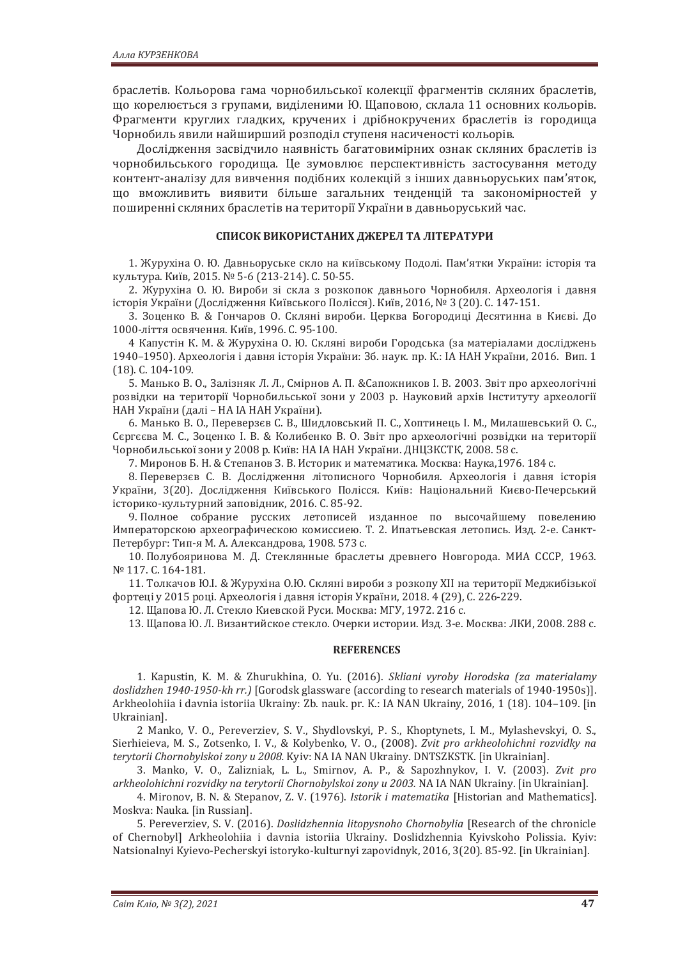браслетів. Кольорова гама чорнобильської колекції фрагментів скляних браслетів, що корелюється з групами, виділеними Ю. Щаповою, склала 11 основних кольорів. Фрагменти круглих гладких, кручених і дрібнокручених браслетів із городища Чорнобиль явили найширший розподіл ступеня насиченості кольорів.

Дослідження засвідчило наявність багатовимірних ознак скляних браслетів із чорнобильського городища. Це зумовлює перспективність застосування методу контент-аналізу для вивчення подібних колекцій з інших давньоруських пам'яток, що вможливить виявити більше загальних тенденцій та закономірностей у поширенні скляних браслетів на території України в давньоруський час.

#### СПИСОК ВИКОРИСТАНИХ ДЖЕРЕЛ ТА ЛІТЕРАТУРИ

1. Журухіна О. Ю. Давньоруське скло на київському Подолі. Пам'ятки України: історія та культура. Київ, 2015. № 5-6 (213-214). С. 50-55.

2. Журухіна О. Ю. Вироби зі скла з розкопок давнього Чорнобиля. Археологія і давня історія України (Дослідження Київського Полісся). Київ, 2016, № 3 (20). С. 147-151.

3. Зоценко В. & Гончаров О. Скляні вироби. Церква Богородиці Десятинна в Києві. До 1000-ліття освячення. Київ, 1996. С. 95-100.

4 Капустін К. М. & Журухіна О. Ю. Скляні вироби Городська (за матеріалами досліджень 1940–1950). Археологія і давня історія України: Зб. наук. пр. К.: ІА НАН України, 2016. Вип. 1  $(18)$ . C.  $104-109$ .

5. Манько В. О., Залізняк Л. Л., Смірнов А. П. &Сапожников І. В. 2003. Звіт про археологічні розвідки на території Чорнобильської зони у 2003 р. Науковий архів Інституту археології НАН України (далі - НА ІА НАН України).

6. Манько В. О., Переверзєв С. В., Шидловський П. С., Хоптинець І. М., Милашевський О. С., Сергєєва М. С., Зоценко І. В. & Колибенко В. О. Звіт про археологічні розвідки на території Чорнобильської зони у 2008 р. Київ: НА ІА НАН України. ДНЦЗКСТК, 2008. 58 с.

7. Миронов Б. Н. & Степанов З. В. Историк и математика. Москва: Наука, 1976. 184 с.

8. Переверзєв С. В. Дослідження літописного Чорнобиля. Археологія і давня історія України, 3(20). Дослідження Київського Полісся. Київ: Національний Києво-Печерський історико-культурний заповідник, 2016. С. 85-92.

9. Полное собрание русских летописей изданное по высочайшему повелению Императорскою археографическою комиссиею. Т. 2. Ипатьевская летопись. Изд. 2-е. Санкт-Петербург: Тип-я М. А. Александрова, 1908. 573 с.

10. Полубояринова М. Д. Стеклянные браслеты древнего Новгорода. МИА СССР. 1963. Nº 117. C. 164-181.

11. Толкачов Ю.І. & Журухіна О.Ю. Скляні вироби з розкопу XII на території Меджибізької фортеці у 2015 році. Археологія і давня історія України, 2018. 4 (29), С. 226-229.

12. Щапова Ю. Л. Стекло Киевской Руси. Москва: МГУ, 1972. 216 с.

13. Щапова Ю. Л. Византийское стекло. Очерки истории. Изд. 3-е. Москва: ЛКИ, 2008. 288 с.

#### **REFERENCES**

1. Kapustin, K. M. & Zhurukhina, O. Yu. (2016). *Skliani vyroby Horodska (za materialamy doslidzhen 1940-1950-kh rr.*) [Gorodsk glassware (according to research materials of 1940-1950s)]. Arkheolohiia i davnia istoriia Ukrainy: Zb. nauk. pr. K.: IA NAN Ukrainy, 2016, 1 (18). 104-109. [in Ukrainian].

2 Manko, V. O., Pereverziev, S. V., Shydlovskyi, P. S., Khoptynets, I. M., Mylashevskyi, O. S., Sierhieieva, M. S., Zotsenko, I. V., & Kolybenko, V. O., (2008). *Zvit pro arkheolohichni rozvidky na terytorii Chornobylskoi zony u 2008.* Kyiv: NA IA NAN Ukrainy. DNTSZKSTK. [in Ukrainian].

3. Manko, V. O., Zalizniak, L. L., Smirnov, A. P., & Sapozhnykov, I. V. (2003), Zvit pro arkheolohichni rozvidky na terytorii Chornobylskoi zony u 2003. NA IA NAN Ukrainy. [in Ukrainian].

4. Mironov, B. N. & Stepanov, Z. V. (1976). *Istorik i matematika* [Historian and Mathematics]. Moskva: Nauka. [in Russian].

5. Pereverziev, S. V. (2016). *Doslidzhennia litopysnoho Chornobylia* [Research of the chronicle of Chernobyl] Arkheolohiia i davnia istoriia Ukrainy. Doslidzhennia Kyivskoho Polissia. Kyiv: Natsionalnyi Kyievo-Pecherskyi istoryko-kulturnyi zapovidnyk, 2016, 3(20). 85-92. [in Ukrainian].